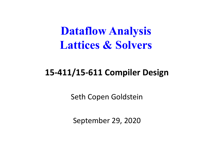**Dataflow Analysis Lattices & Solvers**

#### **15-411/15-611 Compiler Design**

Seth Copen Goldstein

September 29, 2020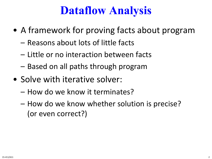# **Dataflow Analysis**

- A framework for proving facts about program
	- Reasons about lots of little facts
	- Little or no interaction between facts
	- Based on all paths through program
- Solve with iterative solver:
	- How do we know it terminates?
	- How do we know whether solution is precise? (or even correct?)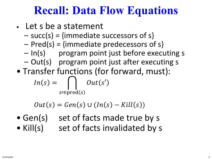# **Recall: Data Flow Equations**

- Let s be a statement
	- $-$  succ(s) = {immediate successors of s}
	- $Pred(s) = \{immediate predecessors of s\}$
	- In(s) program point just before executing s
	- Out(s) program point just after executing s
- Transfer functions (for forward, must):

$$
In(s) = \bigcap_{s' \in \text{pred}(s)} Out(s')
$$

$$
Out(s) = Gen(s) \cup (In(s) - Kill(s))
$$

- Gen(s) set of facts made true by s
- Kill(s) set of facts invalidated by s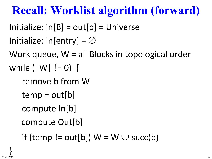# **Recall: Worklist algorithm (forward)**

 $Initialize: in [B] = out [b] = Universe$ 

```
Initialize: in[entry] = \varnothing
```
Work queue, W = all Blocks in topological order while (|W| != 0) {

```
remove b from W
```
- $temp = out[b]$
- compute In[b]
- compute Out[b]

if (temp != out[b])  $W = W \cup succ(b)$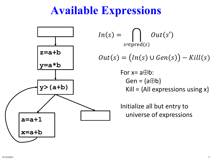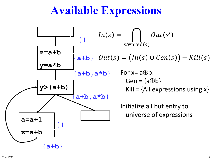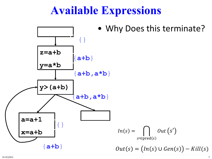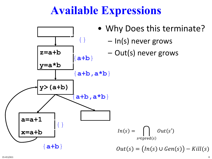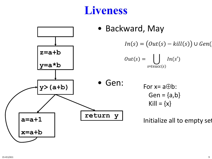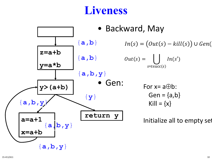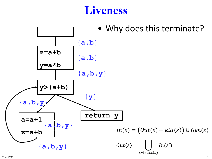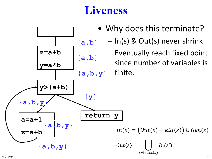

- Why does this terminate?
	- In(s) & Out(s) never shrink
		- Eventually reach fixed point since number of variables is

 $ln(s')$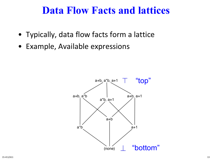#### **Data Flow Facts and lattices**

- Typically, data flow facts form a lattice
- Example, Available expressions

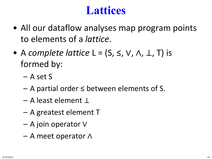### **Lattices**

- All our dataflow analyses map program points to elements of a *lattice*.
- A *complete lattice* L = (S, ≤, V, ∧, ⊥, T) is formed by:
	- A set S
	- A partial order ≤ between elements of S.
	- A least element ⊥
	- A greatest element T
	- A join operator ∨
	- A meet operator ∧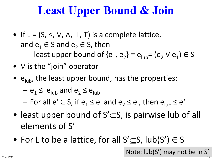# **Least Upper Bound & Join**

- If  $L = (S, \le, V, \Lambda, \perp, T)$  is a complete lattice, and  $e_1 \in S$  and  $e_2 \in S$ , then least upper bound of { $e_1$ ,  $e_2$ }  $\equiv e_{\text{lab}} = (e_2 \vee e_1) \in S$
- ∨ is the "join" operator
- $e_{\text{lub}}$ , the least upper bound, has the properties:

 $-e_1 \leq e_{\text{link}}$  and  $e_2 \leq e_{\text{link}}$ 

– For all  $e' \in S$ , if  $e_1 \leq e'$  and  $e_2 \leq e'$ , then  $e_{\text{link}} \leq e'$ 

- least upper bound of  $S' \subseteq S$ , is pairwise lub of all elements of S'
- For L to be a lattice, for all  $S'$   $\subset$  S, lub(S')  $\in$  S

Note: lub(S') may not be in S'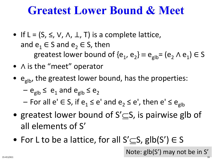### **Greatest Lower Bound & Meet**

- If  $L = (S, \le, V, \Lambda, \perp, T)$  is a complete lattice, and  $e_1 \in S$  and  $e_2 \in S$ , then greatest lower bound of  ${e_1, e_2} \equiv e_{glb} = (e_2 \wedge e_1) \in S$
- ∧ is the "meet" operator
- $e_{\text{glb}}$ , the greatest lower bound, has the properties:
	- $-e_{\text{glb}} \le e_1$  and  $e_{\text{glb}} \le e_2$
	- For all e' ∈ S, if  $e_1 \le e'$  and  $e_2 \le e'$ , then  $e' \le e_{glb}$
- greatest lower bound of  $S' \subseteq S$ , is pairwise glb of all elements of S'
- For L to be a lattice, for all  $S' \subset S$ , glb $(S') \in S$

Note: glb(S') may not be in S' 15-411/611 16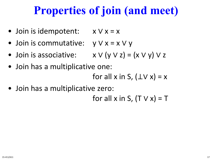# **Properties of join (and meet)**

- Join is idempotent: x ∨ x = x
- Join is commutative: y ∨ x = x ∨ y
- Join is associative:  $x \vee (y \vee z) = (x \vee y) \vee z$
- Join has a multiplicative one: for all x in S,  $(\perp \vee x) = x$
- Join has a multiplicative zero:

for all x in S,  $(T \vee x) = T$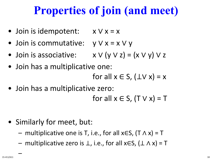# **Properties of join (and meet)**

- Join is idempotent: x ∨ x = x
- Join is commutative: y ∨ x = x ∨ y
- Join is associative:  $x \vee (y \vee z) = (x \vee y) \vee z$
- Join has a multiplicative one: for all  $x \in S$ ,  $(\pm V x) = x$
- Join has a multiplicative zero: for all  $x \in S$ ,  $(T \vee x) = T$
- Similarly for meet, but:
	- $-$  multiplicative one is T, i.e., for all x∈S, (T  $\wedge$  x) = T
	- multiplicative zero is  $\perp$ , i.e., for all xES,  $(\perp \wedge x) = T$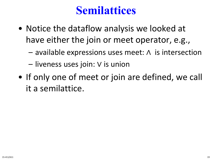# **Semilattices**

- Notice the dataflow analysis we looked at have either the join or meet operator, e.g.,
	- available expressions uses meet: ∧ is intersection
	- liveness uses join: ∨ is union
- If only one of meet or join are defined, we call it a semilattice.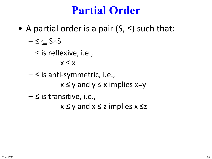#### **Partial Order**

• A partial order is a pair  $(S, \leq)$  such that:

 $\leq$   $\subseteq$  S $\times$ S

 $\leq$  is reflexive, i.e.,

 $x \leq x$ 

- $\leq$  is anti-symmetric, i.e.,  $x \le y$  and  $y \le x$  implies  $x=y$
- $\leq$  is transitive, i.e.,

 $x \le y$  and  $x \le z$  implies  $x \le z$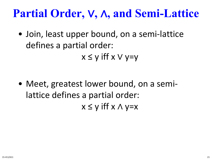# **Partial Order,** ∨**,** ∧**, and Semi-Lattice**

• Join, least upper bound, on a semi-lattice defines a partial order:  $x \le y$  iff  $x \vee y=y$ 

• Meet, greatest lower bound, on a semilattice defines a partial order:  $x \le y$  iff  $x \wedge y=x$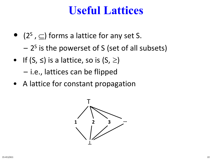#### **Useful Lattices**

- $(2^s, \subseteq)$  forms a lattice for any set S.
	- $-2<sup>S</sup>$  is the powerset of S (set of all subsets)
- If  $(S, \leq)$  is a lattice, so is  $(S, \geq)$ 
	- i.e., lattices can be flipped
- A lattice for constant propagation

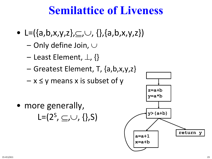### **Semilattice of Liveness**

- L= $({a,b,x,y,z}, \subseteq, \cup, {}, {a,b,x,y,z})$ 
	- Only define Join, ∪
	- Least Element, ⊥, {}
	- Greatest Element, T, {a,b,x,y,z}
	- $-x \leq y$  means x is subset of y

• more generally, L= $(2^S, \subseteq, \cup, \{\}, S)$ 

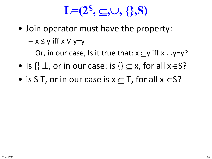# **L=(2S ,** ⊆**,**∪**, {},S)**

• Join operator must have the property:

 $- x \le y$  iff  $x \vee y=y$ 

- Or, in our case, Is it true that:  $x \subset y$  iff  $x \cup y=y$ ?
- Is  $\{\}\perp$ , or in our case: is  $\{\}\subset x$ , for all  $x\in S$ ?
- is S T, or in our case is  $x \subset T$ , for all  $x \in S$ ?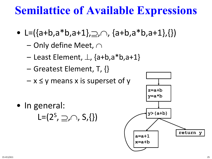# **Semilattice of Available Expressions**

- L= $({a+b,a*b,a+1},\supseteq, \cap, {a+b,a*b,a+1},\{\})$ 
	- Only define Meet, ∩
	- Least Element, ⊥, {a+b,a\*b,a+1}
	- Greatest Element, T, {}
	- $-x \leq y$  means x is superset of y
- In general:

L= $(2^S, \geq, \cap, S, \{\})$ 

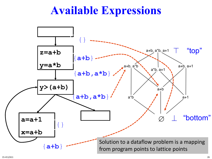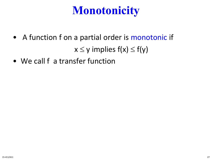# **Monotonicity**

• A function f on a partial order is monotonic if

 $x \le y$  implies  $f(x) \le f(y)$ 

• We call f a transfer function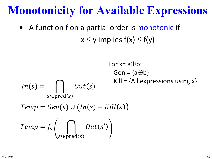### **Monotonicity for Available Expressions**

• A function f on a partial order is monotonic if  $x \le y$  implies  $f(x) \le f(y)$ 

$$
\text{For } x = a \oplus b:
$$
\n
$$
\text{Gen} = \{a \oplus b\}
$$
\n
$$
\text{In}(s) = \bigcap_{s \in \text{pred}(s)} \text{Out}(s) \qquad \text{Kill} = \{\text{All expressions using } x\}
$$
\n
$$
\text{Temp} = \text{Gen}(s) \cup (\text{In}(s) - \text{Kill}(s))
$$
\n
$$
\text{Temp} = f_s \left( \bigcap_{s \in \text{pred}(s)} \text{Out}(s') \right)
$$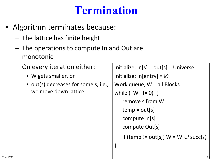# **Termination**

- Algorithm terminates because:
	- The lattice has finite height
	- The operations to compute In and Out are monotonic
	- On every iteration either:
		- W gets smaller, or
		- out(s) decreases for some s, i.e., we move down lattice

```
Initialize: in[s] = out[s] = UniverseInitialize: in[entry] = \varnothingWork queue, W = all Blocks
while (|W| != 0) {
   remove s from W
   temp = out[s]compute In[s]
   compute Out[s]
   if (temp != out[s]) W = W \cup succ(s)}
```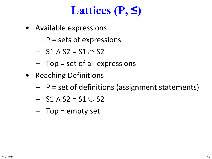# **Lattices (P, ≤)**

- Available expressions
	- $-$  P = sets of expressions
	- $-$  S1  $\wedge$  S2 = S1  $\cap$  S2
	- Top = set of all expressions
- Reaching Definitions
	- $-$  P = set of definitions (assignment statements)
	- $-$  S1  $\wedge$  S2 = S1  $\cup$  S2
	- Top = empty set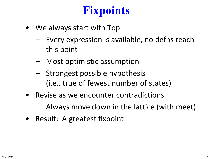# **Fixpoints**

- We always start with Top
	- Every expression is available, no defns reach this point
	- Most optimistic assumption
	- Strongest possible hypothesis (i.e., true of fewest number of states)
- Revise as we encounter contradictions
	- Always move down in the lattice (with meet)
- Result: A greatest fixpoint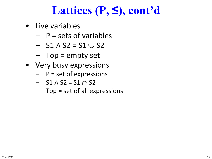# **Lattices (P, ≤), cont'd**

- Live variables
	- $-$  P = sets of variables
	- $-$  S1  $\wedge$  S2 = S1  $\cup$  S2
	- Top = empty set
- Very busy expressions
	- $-P = set of expressions$
	- $-$  S1  $\wedge$  S2 = S1  $\cap$  S2
	- Top = set of all expressions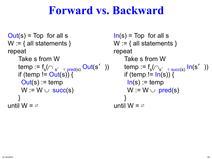#### **Forward vs. Backward**

```
Out(s) = Top for all s
W := \{ all statements \}repeat
    Take s from W
    if (temp != Out(s)) {
     Out(s) := tempW := W \cup succ(s)}
until W = \emptyset
```

```
\mathsf{temp} := \mathsf{f}_\mathsf{s}(\cap{\sf s'}_- \in \mathsf{pred}(\mathsf{s})} \mathsf{Out}(\mathsf{s'}_-)) \qquad \mathsf{temp} := \mathsf{f}_\mathsf{s}(\cap{\sf s'}_- \in \mathsf{succ}(\mathsf{s})} \mathsf{In}(\mathsf{s'}_-))In(s) = Top for all s
                                                                 W := \{ all statements \}repeat
                                                                        Take s from W
                                                                        if (temp != \ln(s)) {
                                                                         In(s) := tempW := W \cup \text{pred}(s)}
                                                                 until W = \emptyset
```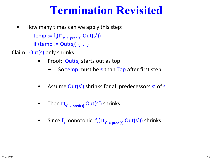#### **Termination Revisited**

• How many times can we apply this step:

 $\mathsf{temp} := \mathsf{f}_\mathsf{s}(\sqcap_{\mathsf{s'}\ \in\ \mathsf{pred}(\mathsf{s})} \mathsf{Out}(\mathsf{s'}))$ if (temp !=  $Out(s)$ ) { ... }

- Claim: Out(s) only shrinks
	- Proof: Out(s) starts out as top
		- So temp must be  $\leq$  than Top after first step
	- Assume Out(s') shrinks for all predecessors s' of s
	- Then  $\prod_{s' \in \text{pred}(s)} Out(s')$  shrinks
	- Since f<sub>s</sub> monotonic, f<sub>s</sub>( $\Pi_{s'}$ <sub>∈ pred(s)</sub> Out(s')) shrinks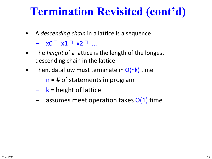# **Termination Revisited (cont'd)**

- A *descending chain* in a lattice is a sequence
	- x0 ⊒ x1 ⊒ x2 ⊒ ...
- The *height* of a lattice is the length of the longest descending chain in the lattice
- Then, dataflow must terminate in  $O(nk)$  time
	- $-$  n = # of statements in program
	- $k$  = height of lattice
	- $-$  assumes meet operation takes  $O(1)$  time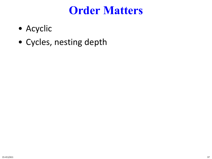#### **Order Matters**

- Acyclic
- Cycles, nesting depth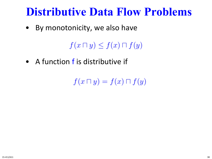### **Distributive Data Flow Problems**

• By monotonicity, we also have

 $f(x\sqcap y)\leq f(x)\sqcap f(y)$ 

• A function f is distributive if

 $f(x\sqcap y)=f(x)\sqcap f(y)$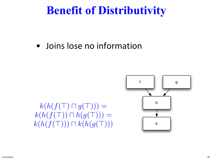# **Benefit of Distributivity**

• Joins lose no information



#### $k(h(f(\top)\sqcap g(\top)))=$  $k(h(f(\top)) \sqcap h(g(\top))) =$  $k(h(f(\top))) \sqcap k(h(g(\top)))$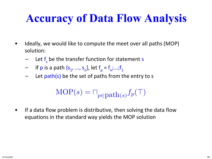# **Accuracy of Data Flow Analysis**

- Ideally, we would like to compute the meet over all paths (MOP) solution:
	- Let f<sub>s</sub> be the transfer function for statement s
	- If p is a path  $\{s_1, ..., s_n\}$ , let  $f_p = f_n; ...; f_1$
	- Let path(s) be the set of paths from the entry to s

$$
\text{MOP}(s) = \sqcap_{p \in \text{path}(s)} f_p(\top)
$$

• If a data flow problem is distributive, then solving the data flow equations in the standard way yields the MOP solution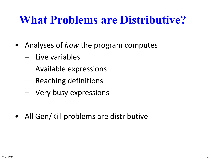# **What Problems are Distributive?**

- Analyses of *how* the program computes
	- Live variables
	- Available expressions
	- Reaching definitions
	- Very busy expressions
- All Gen/Kill problems are distributive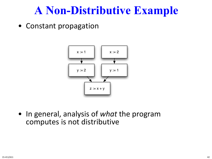### **A Non-Distributive Example**

• Constant propagation



• In general, analysis of *what* the program computes is not distributive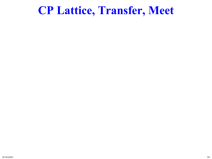#### **CP Lattice, Transfer, Meet**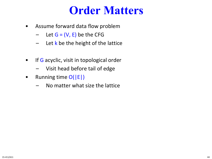#### **Order Matters**

- Assume forward data flow problem
	- $-$  Let  $G = (V, E)$  be the CFG
	- $-$  Let k be the height of the lattice
- If G acyclic, visit in topological order
	- Visit head before tail of edge
- Running time  $O(|E|)$ 
	- No matter what size the lattice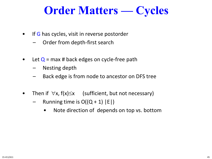# **Order Matters — Cycles**

- If G has cycles, visit in reverse postorder
	- Order from depth-first search
- Let  $Q = max$  # back edges on cycle-free path
	- Nesting depth
	- Back edge is from node to ancestor on DFS tree
- Then if  $\forall x, f(x) \leq x$  (sufficient, but not necessary)
	- Running time is  $O((Q + 1) |E|)$ 
		- Note direction of depends on top vs. bottom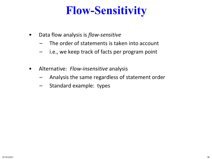# **Flow-Sensitivity**

- Data flow analysis is *flow-sensitive*
	- The order of statements is taken into account
	- i.e., we keep track of facts per program point
- Alternative: *Flow-insensitive* analysis
	- Analysis the same regardless of statement order
	- Standard example: types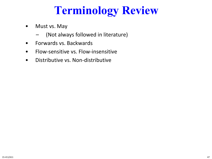# **Terminology Review**

- Must vs. May
	- (Not always followed in literature)
- Forwards vs. Backwards
- Flow-sensitive vs. Flow-insensitive
- Distributive vs. Non-distributive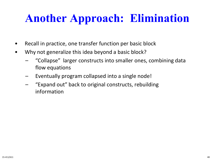# **Another Approach: Elimination**

- Recall in practice, one transfer function per basic block
- Why not generalize this idea beyond a basic block?
	- "Collapse" larger constructs into smaller ones, combining data flow equations
	- Eventually program collapsed into a single node!
	- "Expand out" back to original constructs, rebuilding information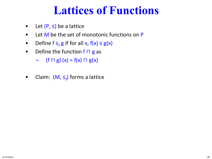# **Lattices of Functions**

- Let  $(P, \leq)$  be a lattice
- Let M be the set of monotonic functions on P
- Define  $f \leq_f g$  if for all x,  $f(x) \leq g(x)$
- Define the function f  $\Box$  g as
	- (f  $\sqcap$  g) (x) = f(x)  $\sqcap$  g(x)
- Claim:  $(M, \leq_f)$  forms a lattice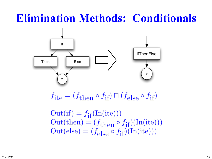# **Elimination Methods: Conditionals**



 $f_{\text{ite}} = (f_{\text{then}} \circ f_{\text{if}}) \sqcap (f_{\text{else}} \circ f_{\text{if}})$ 

 $Out(if) = f_{if}(In(ite)))$  $Out(\text{then}) = (f_{\text{then}} \circ f_{\text{if}})(\text{In}(\text{ite})))$  $Out(else) = (f_{else} \circ f_{if})(In(ite)))$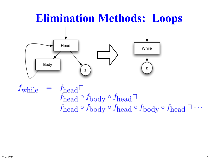## **Elimination Methods: Loops**



 $f_{\text{while}}$  $= f_{\text{head}} \Box$  $f_{\mbox{\scriptsize head}}\circ f_{\mbox{\scriptsize body}}\circ f_{\mbox{\scriptsize head}}\sqcap$  $f_{\text{head}} \circ f_{\text{body}} \circ f_{\text{head}} \circ f_{\text{body}} \circ f_{\text{head}} \cap \cdots$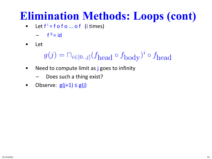# **Elimination Methods: Loops (cont)**

- Let  $f' = f o f o ... of$  (i times)
	- $-$  f<sup>o</sup> = id
- Let

$$
g(j) = \bigcap_{i \in [0..j]} (f_{\text{head}} \circ f_{\text{body}})^i \circ f_{\text{head}}
$$

- Need to compute limit as j goes to infinity
	- Does such a thing exist?
- Observe:  $g(j+1) \le g(j)$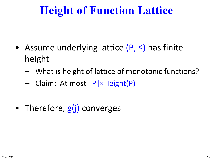# **Height of Function Lattice**

- Assume underlying lattice (P, ≤) has finite height
	- What is height of lattice of monotonic functions?
	- Claim: At most |P|×Height(P)
- Therefore,  $g(i)$  converges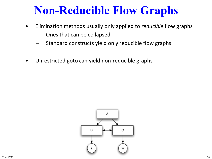# **Non-Reducible Flow Graphs**

- Elimination methods usually only applied to *reducible* flow graphs
	- Ones that can be collapsed
	- Standard constructs yield only reducible flow graphs
- Unrestricted goto can yield non-reducible graphs